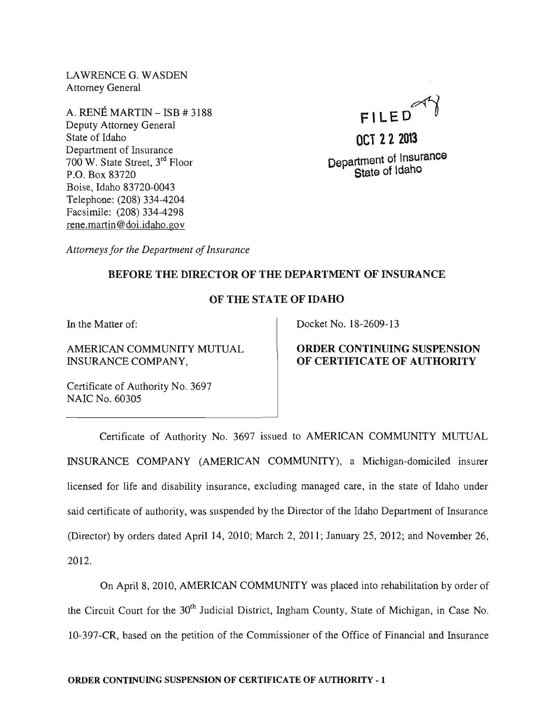LAWRENCE G. WASDEN Attorney General

A. RENE MARTIN - ISB # 3188 Deputy Attorney General State of Idaho Department of Insurance 700 W. State Street, 3rd Floor P.O. Box 83720 Boise, Idaho 83720-0043 Telephone: (208) 334-4204 Facsimile: (208) 334-4298 rene. martin @doi.idaho.gov



**OCT 222013**  Department of Insurance State of Idaho

*Attorneys for the Department of Insurance* 

### BEFORE THE DIRECTOR OF THE DEPARTMENT OF INSURANCE

### OF THE STATE OF IDAHO

In the Matter of:

AMERICAN COMMUNITY MUTUAL INSURANCE COMPANY,

Docket No. 18-2609-13

## ORDER CONTINUING SUSPENSION OF CERTIFICATE OF AUTHORITY

Certificate of Authority No. 3697 NAIC No. 60305

Certificate of Authority No. 3697 issued to AMERICAN COMMUNITY MUTUAL INSURANCE COMPANY (AMERICAN COMMUNITY), a Michigan-domiciled insurer licensed for life and disability insurance, excluding managed care, in the state of Idaho under said certificate of authority, was suspended by the Director of the Idaho Department of Insurance (Director) by orders dated April 14, 2010; March 2, 2011; January 25, 2012; and November 26, 2012.

On April 8, 2010, AMERICAN COMMUNITY was placed into rehabilitation by order of the Circuit Court for the 30<sup>th</sup> Judicial District, Ingham County, State of Michigan, in Case No. 1O-397-CR, based on the petition of the Commissioner of the Office of Financial and Insurance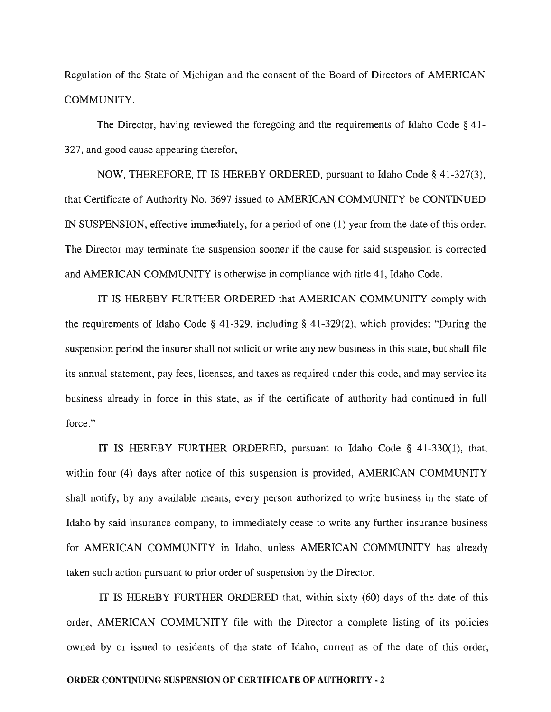Regulation of the State of Michigan and the consent of the Board of Directors of AMERICAN COMMUNITY.

The Director, having reviewed the foregoing and the requirements of Idaho Code § 41- 327, and good cause appearing therefor,

NOW, THEREFORE, IT IS HEREBY ORDERED, pursuant to Idaho Code § 41-327(3), that Certificate of Authority No. 3697 issued to AMERICAN COMMUNITY be CONTINUED IN SUSPENSION, effective immediately, for a period of one (1) year from the date of this order. The Director may terminate the suspension sooner if the cause for said suspension is corrected and AMERICAN COMMUNITY is otherwise in compliance with title 41, Idaho Code.

IT IS HEREBY FURTHER ORDERED that AMERICAN COMMUNITY comply with the requirements of Idaho Code § 41-329, including § 41-329(2), which provides: "During the suspension period the insurer shall not solicit or write any new business in this state, but shall file its annual statement, pay fees, licenses, and taxes as required under this code, and may service its business already in force in this state, as if the certificate of authority had continued in full force."

IT IS HEREBY FURTHER ORDERED, pursuant to Idaho Code § 41-330(1), that, within four (4) days after notice of this suspension is provided, AMERICAN COMMUNITY shall notify, by any available means, every person authorized to write business in the state of Idaho by said insurance company, to immediately cease to write any further insurance business for AMERICAN COMMUNITY in Idaho, unless AMERICAN COMMUNITY has already taken such action pursuant to prior order of suspension by the Director.

IT IS HEREBY FURTHER ORDERED that, within sixty (60) days of the date of this order, AMERICAN COMMUNITY file with the Director a complete listing of its policies owned by or issued to residents of the state of Idaho, current as of the date of this order,

#### ORDER CONTINUING SUSPENSION OF CERTIFICATE OF AUTHORITY - 2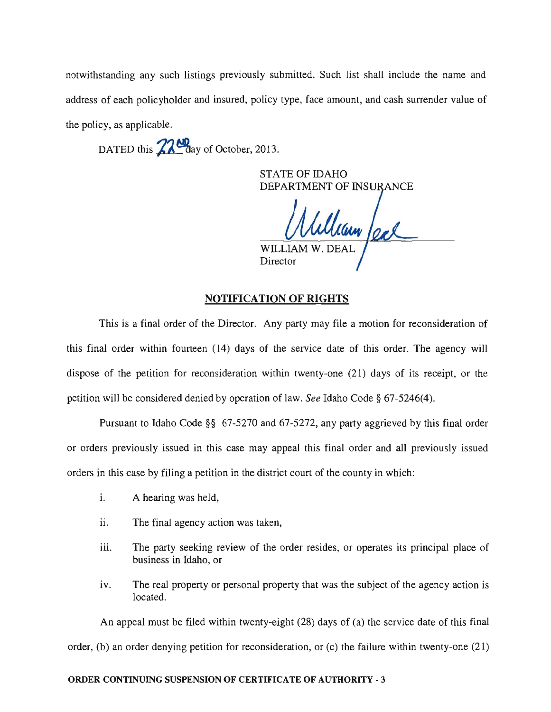notwithstanding any such listings previously submitted. Such list shall include the name and address of each policyholder and insured, policy type, face amount, and cash surrender value of the policy, as applicable.

DATED this  $22\frac{M}{a}$  ay of October, 2013.

STATE OF IDAHO DEPARTMENT OF INSURANCE

William /eal

Director

## NOTIFICATION OF RIGHTS

This is a final order of the Director. Any party may file a motion for reconsideration of this final order within fourteen (14) days of the service date of this order. The agency will dispose of the petition for reconsideration within twenty-one (21) days of its receipt, or the petition will be considered denied by operation of law. *See* Idaho Code § 67-5246(4).

Pursuant to Idaho Code §§ 67-5270 and 67-5272, any party aggrieved by this final order or orders previously issued in this case may appeal this final order and all previously issued orders in this case by filing a petition in the district court of the county in which:

- i. A hearing was held,
- ii. The final agency action was taken,
- iii. The party seeking review of the order resides, or operates its principal place of business in Idaho, or
- iv. The real property or personal property that was the subject of the agency action is located.

An appeal must be filed within twenty-eight (28) days of (a) the service date of this final order, (b) an order denying petition for reconsideration, or (c) the failure within twenty-one (21)

## ORDER CONTINUING SUSPENSION OF CERTIFICATE OF AUTHORITY - 3